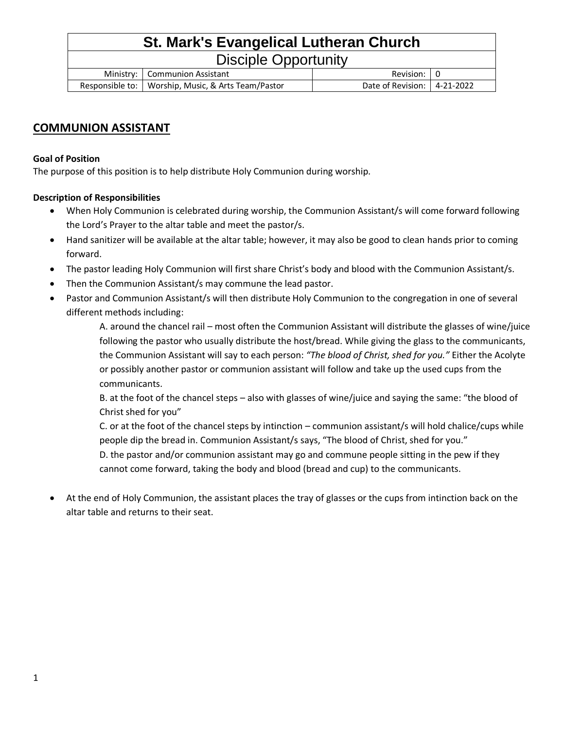## **St. Mark's Evangelical Lutheran Church** Disciple Opportunity Ministry: Communion Assistant Revision: 0 Responsible to: Worship, Music, & Arts Team/Pastor | Date of Revision: 4-21-2022

## **COMMUNION ASSISTANT**

### **Goal of Position**

The purpose of this position is to help distribute Holy Communion during worship.

### **Description of Responsibilities**

- When Holy Communion is celebrated during worship, the Communion Assistant/s will come forward following the Lord's Prayer to the altar table and meet the pastor/s.
- Hand sanitizer will be available at the altar table; however, it may also be good to clean hands prior to coming forward.
- The pastor leading Holy Communion will first share Christ's body and blood with the Communion Assistant/s.
- Then the Communion Assistant/s may commune the lead pastor.
- Pastor and Communion Assistant/s will then distribute Holy Communion to the congregation in one of several different methods including:

A. around the chancel rail – most often the Communion Assistant will distribute the glasses of wine/juice following the pastor who usually distribute the host/bread. While giving the glass to the communicants, the Communion Assistant will say to each person: *"The blood of Christ, shed for you."* Either the Acolyte or possibly another pastor or communion assistant will follow and take up the used cups from the communicants.

B. at the foot of the chancel steps – also with glasses of wine/juice and saying the same: "the blood of Christ shed for you"

C. or at the foot of the chancel steps by intinction – communion assistant/s will hold chalice/cups while people dip the bread in. Communion Assistant/s says, "The blood of Christ, shed for you."

D. the pastor and/or communion assistant may go and commune people sitting in the pew if they cannot come forward, taking the body and blood (bread and cup) to the communicants.

• At the end of Holy Communion, the assistant places the tray of glasses or the cups from intinction back on the altar table and returns to their seat.